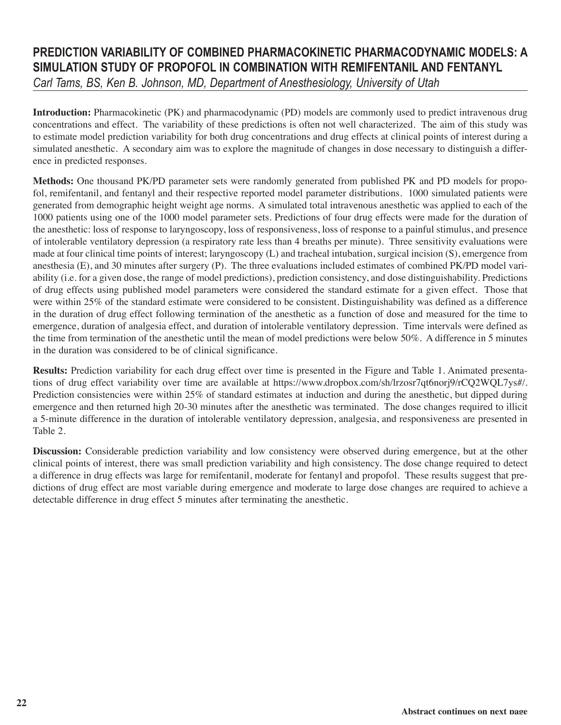## **PREDICTION VARIABILITY OF COMBINED PHARMACOKINETIC PHARMACODYNAMIC MODELS: A SIMULATION STUDY OF PROPOFOL IN COMBINATION WITH REMIFENTANIL AND FENTANYL**

*Carl Tams, BS, Ken B. Johnson, MD, Department of Anesthesiology, University of Utah*

**Introduction:** Pharmacokinetic (PK) and pharmacodynamic (PD) models are commonly used to predict intravenous drug concentrations and effect. The variability of these predictions is often not well characterized. The aim of this study was to estimate model prediction variability for both drug concentrations and drug effects at clinical points of interest during a simulated anesthetic. A secondary aim was to explore the magnitude of changes in dose necessary to distinguish a difference in predicted responses.

**Methods:** One thousand PK/PD parameter sets were randomly generated from published PK and PD models for propofol, remifentanil, and fentanyl and their respective reported model parameter distributions. 1000 simulated patients were generated from demographic height weight age norms. A simulated total intravenous anesthetic was applied to each of the 1000 patients using one of the 1000 model parameter sets. Predictions of four drug effects were made for the duration of the anesthetic: loss of response to laryngoscopy, loss of responsiveness, loss of response to a painful stimulus, and presence of intolerable ventilatory depression (a respiratory rate less than 4 breaths per minute). Three sensitivity evaluations were made at four clinical time points of interest; laryngoscopy (L) and tracheal intubation, surgical incision (S), emergence from anesthesia (E), and 30 minutes after surgery (P). The three evaluations included estimates of combined PK/PD model variability (i.e. for a given dose, the range of model predictions), prediction consistency, and dose distinguishability. Predictions of drug effects using published model parameters were considered the standard estimate for a given effect. Those that were within 25% of the standard estimate were considered to be consistent. Distinguishability was defined as a difference in the duration of drug effect following termination of the anesthetic as a function of dose and measured for the time to emergence, duration of analgesia effect, and duration of intolerable ventilatory depression. Time intervals were defined as the time from termination of the anesthetic until the mean of model predictions were below 50%. A difference in 5 minutes in the duration was considered to be of clinical significance.

**Results:** Prediction variability for each drug effect over time is presented in the Figure and Table 1. Animated presentations of drug effect variability over time are available at https://www.dropbox.com/sh/lrzosr7qt6norj9/rCQ2WQL7ys#/. Prediction consistencies were within 25% of standard estimates at induction and during the anesthetic, but dipped during emergence and then returned high 20-30 minutes after the anesthetic was terminated. The dose changes required to illicit a 5-minute difference in the duration of intolerable ventilatory depression, analgesia, and responsiveness are presented in Table 2.

**Discussion:** Considerable prediction variability and low consistency were observed during emergence, but at the other clinical points of interest, there was small prediction variability and high consistency. The dose change required to detect a difference in drug effects was large for remifentanil, moderate for fentanyl and propofol. These results suggest that predictions of drug effect are most variable during emergence and moderate to large dose changes are required to achieve a detectable difference in drug effect 5 minutes after terminating the anesthetic.